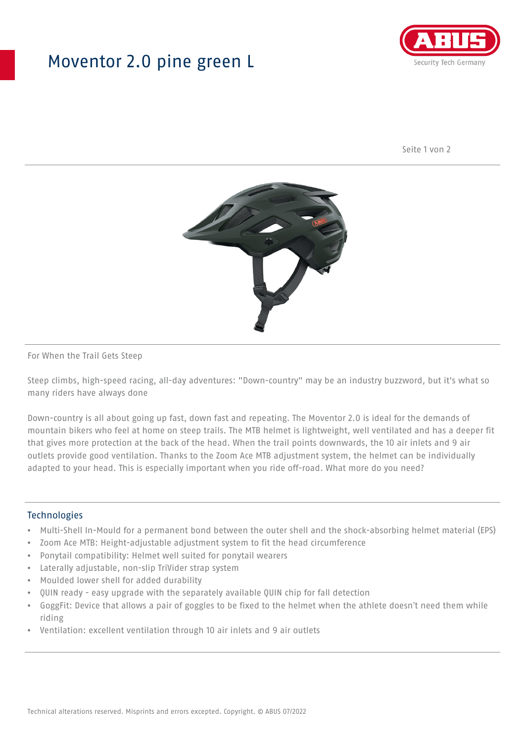## Moventor 2.0 pine green L



Seite 1 von 2



#### For When the Trail Gets Steep

Steep climbs, high-speed racing, all-day adventures: "Down-country" may be an industry buzzword, but it's what so many riders have always done

Down-country is all about going up fast, down fast and repeating. The Moventor 2.0 is ideal for the demands of mountain bikers who feel at home on steep trails. The MTB helmet is lightweight, well ventilated and has a deeper fit that gives more protection at the back of the head. When the trail points downwards, the 10 air inlets and 9 air outlets provide good ventilation. Thanks to the Zoom Ace MTB adjustment system, the helmet can be individually adapted to your head. This is especially important when you ride off-road. What more do you need?

#### **Technologies**

- Multi-Shell In-Mould for a permanent bond between the outer shell and the shock-absorbing helmet material (EPS)
- Zoom Ace MTB: Height-adjustable adjustment system to fit the head circumference
- Ponytail compatibility: Helmet well suited for ponytail wearers
- Laterally adjustable, non-slip TriVider strap system
- Moulded lower shell for added durability
- QUIN ready easy upgrade with the separately available QUIN chip for fall detection
- GoggFit: Device that allows a pair of goggles to be fixed to the helmet when the athlete doesn't need them while riding
- Ventilation: excellent ventilation through 10 air inlets and 9 air outlets